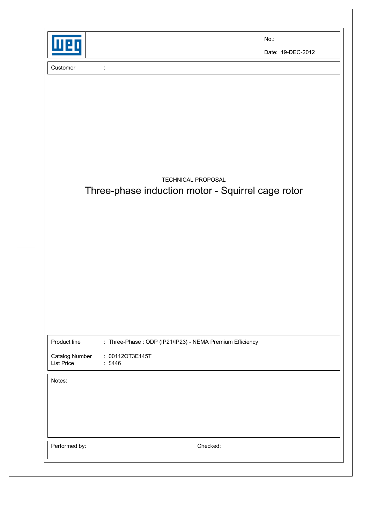|                                                     |                                                                                         |                    | $No.$ :                                           |
|-----------------------------------------------------|-----------------------------------------------------------------------------------------|--------------------|---------------------------------------------------|
| Wei                                                 |                                                                                         |                    | Date: 19-DEC-2012                                 |
| Customer                                            | $\ddot{\phantom{0}}$                                                                    |                    |                                                   |
|                                                     |                                                                                         |                    |                                                   |
|                                                     |                                                                                         |                    |                                                   |
|                                                     |                                                                                         |                    |                                                   |
|                                                     |                                                                                         |                    |                                                   |
|                                                     |                                                                                         |                    |                                                   |
|                                                     |                                                                                         | TECHNICAL PROPOSAL | Three-phase induction motor - Squirrel cage rotor |
|                                                     |                                                                                         |                    |                                                   |
|                                                     |                                                                                         |                    |                                                   |
|                                                     |                                                                                         |                    |                                                   |
|                                                     |                                                                                         |                    |                                                   |
|                                                     |                                                                                         |                    |                                                   |
|                                                     |                                                                                         |                    |                                                   |
|                                                     |                                                                                         |                    |                                                   |
|                                                     |                                                                                         |                    |                                                   |
| Product line<br>Catalog Number<br><b>List Price</b> | : Three-Phase : ODP (IP21/IP23) - NEMA Premium Efficiency<br>: 00112OT3E145T<br>: \$446 |                    |                                                   |
| Notes:                                              |                                                                                         |                    |                                                   |
|                                                     |                                                                                         |                    |                                                   |
|                                                     |                                                                                         |                    |                                                   |
|                                                     |                                                                                         |                    |                                                   |
|                                                     |                                                                                         |                    |                                                   |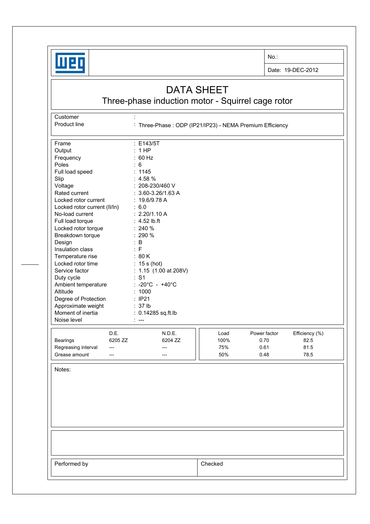

No.:

Date: 19-DEC-2012

## DATA SHEET

## Three-phase induction motor - Squirrel cage rotor

Customer : the state of the state of the state of the state of the state of the state of the state of the state of the state of the state of the state of the state of the state of the state of the state of the state of the

Product line : Three-Phase : ODP (IP21/IP23) - NEMA Premium Efficiency

| Frame<br>Output<br>Frequency<br>Poles<br>Full load speed<br>Slip<br>Voltage<br>Rated current<br>Locked rotor current<br>Locked rotor current (II/In)<br>No-load current<br>Full load torque<br>Locked rotor torque<br>Breakdown torque<br>Design<br>Insulation class<br>Temperature rise<br>Locked rotor time<br>Service factor<br>Duty cycle<br>Ambient temperature<br>Altitude<br>Degree of Protection<br>Approximate weight<br>Moment of inertia<br>Noise level |                                 | : E143/5T<br>: 1HP<br>: 60 Hz<br>$\therefore$ 6<br>: 1145<br>$: 4.58 \%$<br>: 208-230/460 V<br>$: 3.60 - 3.26 / 1.63 A$<br>: 19.6/9.78 A<br>: 6.0<br>: 2.20/1.10 A<br>$: 4.52$ lb.ft<br>$: 240 \%$<br>: 290 %<br>$\therefore$ B<br>: F<br>: 80 K<br>$: 15s$ (hot)<br>: 1.15 (1.00 at 208V)<br>: S1<br>: -20°C - +40°C<br>: 1000<br>: IP21<br>: 37 lb<br>: 0.14285 sq.ft.lb<br>$\mathbb{R}$ |                            |                                      |                                        |
|--------------------------------------------------------------------------------------------------------------------------------------------------------------------------------------------------------------------------------------------------------------------------------------------------------------------------------------------------------------------------------------------------------------------------------------------------------------------|---------------------------------|--------------------------------------------------------------------------------------------------------------------------------------------------------------------------------------------------------------------------------------------------------------------------------------------------------------------------------------------------------------------------------------------|----------------------------|--------------------------------------|----------------------------------------|
| Bearings<br>Regreasing interval<br>Grease amount                                                                                                                                                                                                                                                                                                                                                                                                                   | D.E.<br>6205 ZZ<br>---<br>$---$ | N.D.E.<br>6204 ZZ<br>---<br>---                                                                                                                                                                                                                                                                                                                                                            | Load<br>100%<br>75%<br>50% | Power factor<br>0.70<br>0.61<br>0.48 | Efficiency (%)<br>82.5<br>81.5<br>78.5 |
| Notes:                                                                                                                                                                                                                                                                                                                                                                                                                                                             |                                 |                                                                                                                                                                                                                                                                                                                                                                                            |                            |                                      |                                        |
| Performed by                                                                                                                                                                                                                                                                                                                                                                                                                                                       |                                 |                                                                                                                                                                                                                                                                                                                                                                                            | Checked                    |                                      |                                        |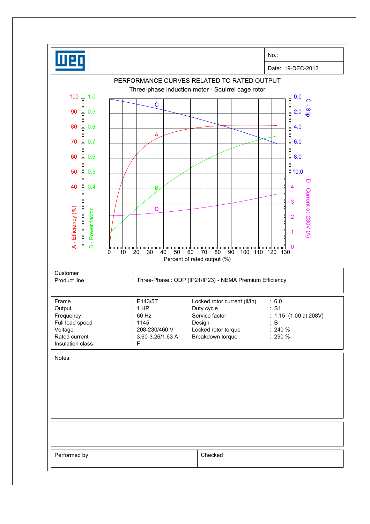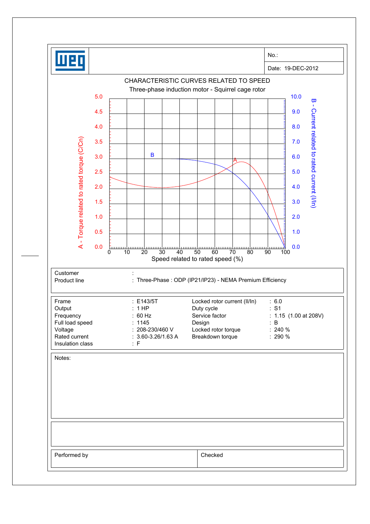